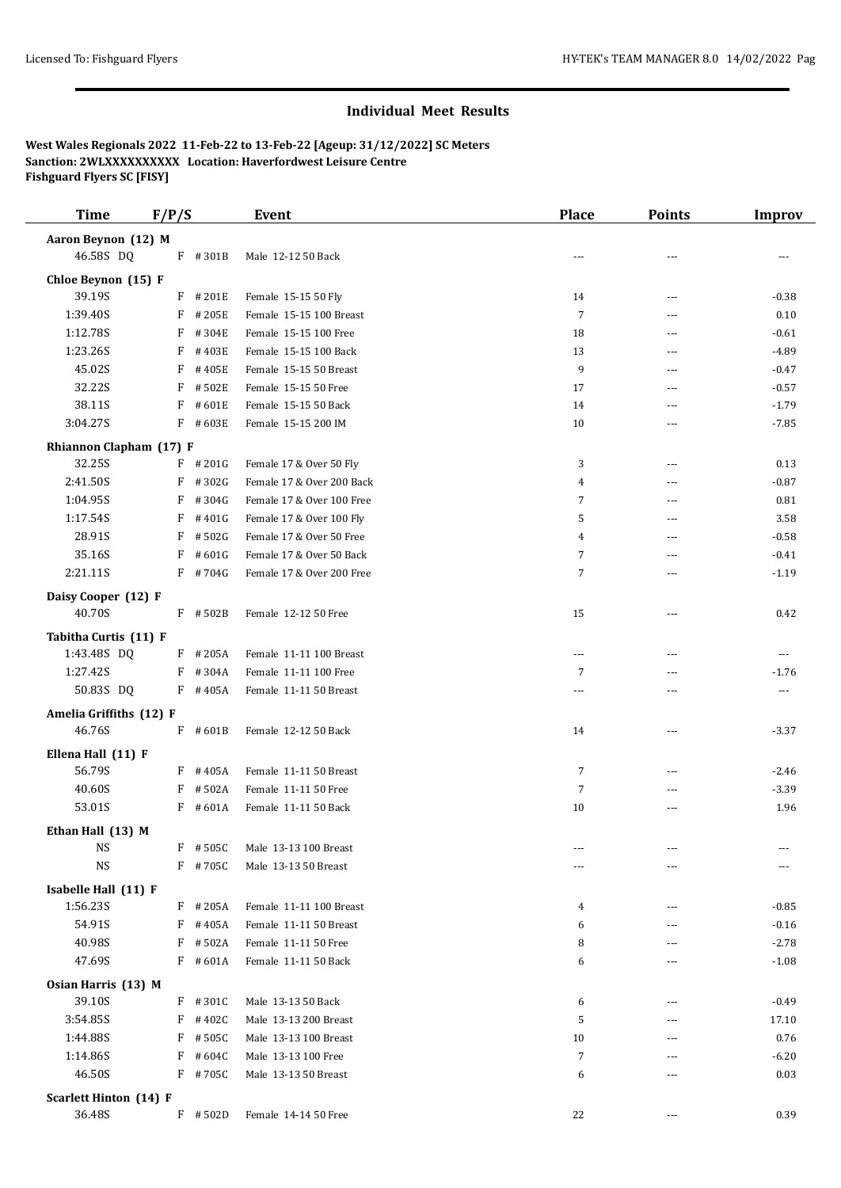## **Individual Meet Results**

**West Wales Regionals 2022 11-Feb-22 to 13-Feb-22 [Ageup: 31/12/2022] SC Meters Sanction: 2WLXXXXXXXXXX Location: Haverfordwest Leisure Centre Fishguard Flyers SC [FISY]**

| <b>Time</b>                       | F/P/S      | <b>Event</b>              | <b>Place</b>             | <b>Points</b>  | <b>Improv</b> |
|-----------------------------------|------------|---------------------------|--------------------------|----------------|---------------|
| Aaron Beynon (12) M               |            |                           |                          |                |               |
| 46.58S DQ                         | F #301B    | Male 12-12 50 Back        | $\overline{a}$           | ---            |               |
| Chloe Beynon (15) F               |            |                           |                          |                |               |
| 39.19S                            | F #201E    | Female 15-15 50 Fly       | 14                       | ---            | $-0.38$       |
| 1:39.40S                          | $F$ # 205E | Female 15-15 100 Breast   | 7                        | ---            | 0.10          |
| 1:12.78S                          | F<br>#304E | Female 15-15 100 Free     | 18                       | ---            | $-0.61$       |
| 1:23.26S                          | F<br>#403E | Female 15-15 100 Back     | 13                       | ---            | $-4.89$       |
| 45.02S                            | F #405E    | Female 15-15 50 Breast    | 9                        | $\overline{a}$ | $-0.47$       |
| 32.22S                            | $F$ #502E  | Female 15-15 50 Free      | 17                       | ---            | $-0.57$       |
| 38.11S                            | $F$ #601E  | Female 15-15 50 Back      | 14                       | $\cdots$       | $-1.79$       |
| 3:04.27S                          | $F$ #603E  | Female 15-15 200 IM       | 10                       | ---            | $-7.85$       |
| Rhiannon Clapham (17) F           |            |                           |                          |                |               |
| 32.25S                            | $F$ # 201G | Female 17 & Over 50 Fly   | 3                        | ---            | 0.13          |
| 2:41.50S                          | $F$ #302G  | Female 17 & Over 200 Back | 4                        | ---            | $-0.87$       |
| 1:04.95S                          | F<br>#304G | Female 17 & Over 100 Free | 7                        | $- - -$        | 0.81          |
| 1:17.54S                          | $F$ #401G  | Female 17 & Over 100 Fly  | 5                        | ---            | 3.58          |
| 28.91S                            | #502G<br>F | Female 17 & Over 50 Free  | 4                        | $---$          | $-0.58$       |
| 35.16S                            | F<br>#601G | Female 17 & Over 50 Back  | 7                        | ---            | $-0.41$       |
| 2:21.11S                          | $F$ #704G  | Female 17 & Over 200 Free | 7                        | $\overline{a}$ | $-1.19$       |
| Daisy Cooper (12) F               |            |                           |                          |                |               |
| 40.70S                            | F #502B    | Female 12-12 50 Free      | 15                       | ---            | 0.42          |
| Tabitha Curtis (11) F             |            |                           |                          |                |               |
| 1:43.48S DQ                       | $F$ # 205A | Female 11-11 100 Breast   | $\overline{\phantom{a}}$ | ---            | ---           |
| 1:27.42S                          | $F$ #304A  | Female 11-11 100 Free     | 7                        | ---            | $-1.76$       |
| 50.83S DQ                         | $F$ #405A  | Female 11-11 50 Breast    | ---                      | ---            | $---$         |
|                                   |            |                           |                          |                |               |
| Amelia Griffiths (12) F<br>46.76S | $F$ #601B  | Female 12-12 50 Back      | 14                       | ---            | $-3.37$       |
|                                   |            |                           |                          |                |               |
| Ellena Hall (11) F                |            |                           |                          |                |               |
| 56.79S                            | $F$ #405A  | Female 11-11 50 Breast    | 7                        | ---            | $-2.46$       |
| 40.60S                            | $F$ #502A  | Female 11-11 50 Free      | 7                        |                | $-3.39$       |
| 53.01S                            | $F$ #601A  | Female 11-11 50 Back      | 10                       | ---            | 1.96          |
| Ethan Hall (13) M                 |            |                           |                          |                |               |
| NS                                | F #505C    | Male 13-13 100 Breast     |                          |                |               |
| <b>NS</b>                         | F #705C    | Male 13-13 50 Breast      |                          | ---            |               |
| Isabelle Hall (11) F              |            |                           |                          |                |               |
| 1:56.23S                          | $F$ # 205A | Female 11-11 100 Breast   | 4                        | ---            | $-0.85$       |
| 54.91S                            | F #405A    | Female 11-11 50 Breast    | 6                        | ---            | $-0.16$       |
| 40.98S                            | #502A<br>F | Female 11-11 50 Free      | 8                        | ---            | $-2.78$       |
| 47.69S                            | $F$ #601A  | Female 11-11 50 Back      | 6                        | ---            | $-1.08$       |
| Osian Harris (13) M               |            |                           |                          |                |               |
| 39.10S                            | $F$ #301C  | Male 13-13 50 Back        | 6                        | ---            | $-0.49$       |
| 3:54.85S                          | $F$ #402C  | Male 13-13 200 Breast     | 5                        | $---$          | 17.10         |
| 1:44.88S                          | #505C<br>F | Male 13-13 100 Breast     | 10                       | ---            | 0.76          |
| 1:14.86S                          | $F$ #604C  | Male 13-13 100 Free       | 7                        | ---            | $-6.20$       |
| 46.50S                            | F #705C    | Male 13-13 50 Breast      | 6                        | ---            | 0.03          |
| <b>Scarlett Hinton (14) F</b>     |            |                           |                          |                |               |
| 36.48S                            | $F$ #502D  | Female 14-14 50 Free      | 22                       | ---            | 0.39          |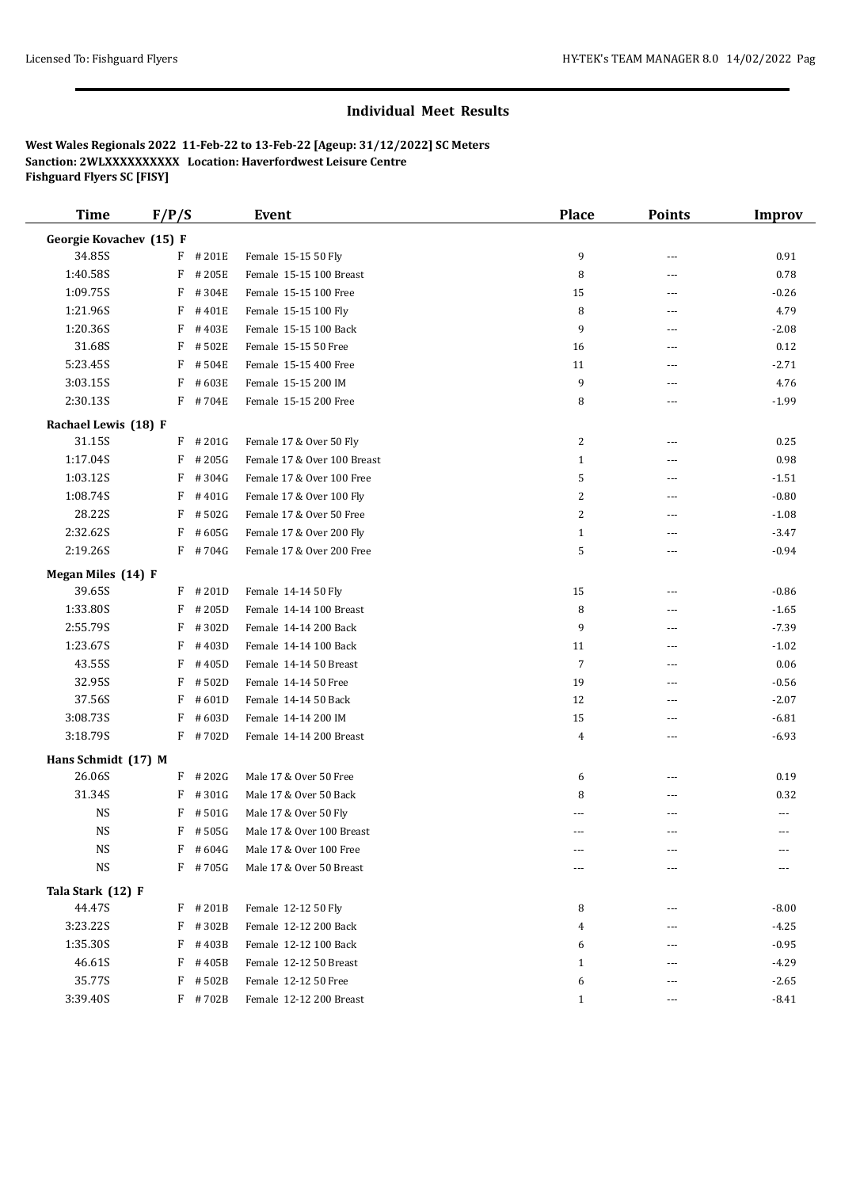## **Individual Meet Results**

**West Wales Regionals 2022 11-Feb-22 to 13-Feb-22 [Ageup: 31/12/2022] SC Meters Sanction: 2WLXXXXXXXXXX Location: Haverfordwest Leisure Centre Fishguard Flyers SC [FISY]**

| <b>Time</b>             | F/P/S      | Event                       | <b>Place</b>   | <b>Points</b> | <b>Improv</b> |
|-------------------------|------------|-----------------------------|----------------|---------------|---------------|
| Georgie Kovachev (15) F |            |                             |                |               |               |
| 34.85S                  | F #201E    | Female 15-15 50 Fly         | 9              | ---           | 0.91          |
| 1:40.58S                | F<br>#205E | Female 15-15 100 Breast     | 8              | ---           | 0.78          |
| 1:09.75S                | F<br>#304E | Female 15-15 100 Free       | 15             | ---           | $-0.26$       |
| 1:21.96S                | F<br>#401E | Female 15-15 100 Fly        | 8              | ---           | 4.79          |
| 1:20.36S                | F<br>#403E | Female 15-15 100 Back       | 9              | ---           | $-2.08$       |
| 31.68S                  | F<br>#502E | Female 15-15 50 Free        | 16             | ---           | 0.12          |
| 5:23.45S                | #504E<br>F | Female 15-15 400 Free       | 11             | ---           | $-2.71$       |
| 3:03.15S                | #603E<br>F | Female 15-15 200 IM         | 9              | ---           | 4.76          |
| 2:30.13S                | $F$ # 704E | Female 15-15 200 Free       | 8              | ---           | $-1.99$       |
| Rachael Lewis (18) F    |            |                             |                |               |               |
| 31.15S                  | $F$ # 201G | Female 17 & Over 50 Fly     | 2              | ---           | 0.25          |
| 1:17.04S                | F<br>#205G | Female 17 & Over 100 Breast | $\mathbf{1}$   | ---           | 0.98          |
| 1:03.12S                | F<br>#304G | Female 17 & Over 100 Free   | 5              | ---           | $-1.51$       |
| 1:08.74S                | F<br>#401G | Female 17 & Over 100 Fly    | 2              | ---           | $-0.80$       |
| 28.22S                  | F<br>#502G | Female 17 & Over 50 Free    | 2              | ---           | $-1.08$       |
| 2:32.62S                | F<br>#605G | Female 17 & Over 200 Fly    | $\mathbf{1}$   | ---           | $-3.47$       |
| 2:19.26S                | $F$ #704G  | Female 17 & Over 200 Free   | 5              | ---           | $-0.94$       |
| Megan Miles (14) F      |            |                             |                |               |               |
| 39.65S                  | F<br>#201D | Female 14-14 50 Fly         | 15             | ---           | $-0.86$       |
| 1:33.80S                | F<br>#205D | Female 14-14 100 Breast     | 8              | ---           | $-1.65$       |
| 2:55.79S                | F<br>#302D | Female 14-14 200 Back       | 9              | ---           | $-7.39$       |
| 1:23.67S                | F<br>#403D | Female 14-14 100 Back       | 11             | ---           | $-1.02$       |
| 43.55S                  | F<br>#405D | Female 14-14 50 Breast      | $\overline{7}$ | ---           | 0.06          |
| 32.95S                  | F<br>#502D | Female 14-14 50 Free        | 19             | ---           | $-0.56$       |
| 37.56S                  | F<br>#601D | Female 14-14 50 Back        | 12             | ---           | $-2.07$       |
| 3:08.73S                | F<br>#603D | Female 14-14 200 IM         | 15             | ---           | $-6.81$       |
| 3:18.79S                | F<br>#702D | Female 14-14 200 Breast     | 4              | ---           | $-6.93$       |
| Hans Schmidt (17) M     |            |                             |                |               |               |
| 26.06S                  | F<br>#202G | Male 17 & Over 50 Free      | 6              | ---           | 0.19          |
| 31.34S                  | F<br>#301G | Male 17 & Over 50 Back      | 8              | ---           | 0.32          |
| <b>NS</b>               | F<br>#501G | Male 17 & Over 50 Fly       |                |               | ---           |
| <b>NS</b>               | $F$ #505G  | Male 17 & Over 100 Breast   | $---$          | ---           | $---$         |
| NS                      | F<br>#604G | Male 17 & Over 100 Free     |                |               |               |
| <b>NS</b>               | $F$ # 705G | Male 17 & Over 50 Breast    |                | ---           |               |
| Tala Stark (12) F       |            |                             |                |               |               |
| 44.47S                  | $F$ # 201B | Female 12-12 50 Fly         | 8              | ---           | $-8.00$       |
| 3:23.22S                | #302B<br>F | Female 12-12 200 Back       | 4              | ---           | $-4.25$       |
| 1:35.30S                | #403B<br>F | Female 12-12 100 Back       | 6              | ---           | $-0.95$       |
| 46.61S                  | F<br>#405B | Female 12-12 50 Breast      | $\mathbf{1}$   | ---           | $-4.29$       |
| 35.77S                  | F<br>#502B | Female 12-12 50 Free        | 6              | ---           | $-2.65$       |
| 3:39.40S                | F #702B    | Female 12-12 200 Breast     | $\mathbf{1}$   | ---           | $-8.41$       |